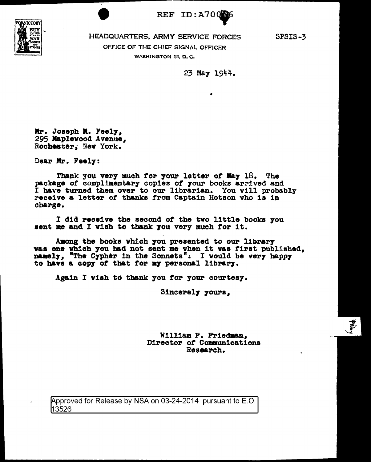

T

REF ID:A70006

SPSIS-3

OFFICE OF THE CHIEF SIGNAL OFFICER WASHINGTON 25, D. C.

23 May 1944.

Mr. Joseph M. Feely,<br>295 Maplewood Avenue, Rochester; New York.

Dear Mr. Feel7:

Thank you very much for your letter of May 18. The package of complimentary copies of your books arrived and <sup>I</sup>have turned them over to our librarian. You will probably receive a letter of thanks trom Captain Hotson who is in charge.

I did receive the second *ot* the tvo little books 7ou sent me and I vish to thank you very much for it.

Among the books which you presented to our library<br>was one which you had not sent me when it was first published, namely, "The Cypher in the Sonnets". I would be very happy to have a copy of that for my personal library.

Again I vish to thank you for your courtesy.

Sincerely yours,

William F. Friedman, Director of Communications Research.

pproved for Release by NSA on 03-24-2014 pursuant to E.O. 13526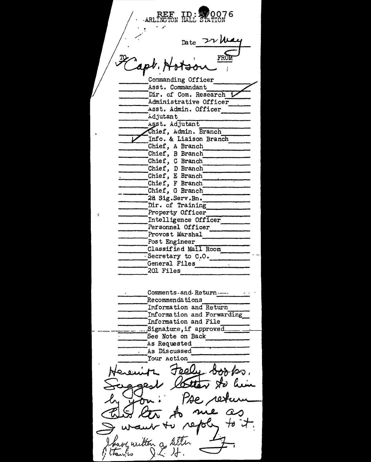REF ID:  $\frac{1}{2}$ 0076<br>ARLINGTON HALL STATION h;\_,, LI~.~~# -~~· Asst. Conunandant:T ----Dir. of Com. Research V ----Administrative Officer ------Asst. Admin. Officer ---- ----- ------- h d jut ant -------A t. Adjutant ----------------- ef, Adm.in. Branch Asst. Adjutant<br>
Chief, Admin. Branch<br>
Info. & Liaison Branch<br>
Chief, A Branch Chief, B Branch<br>Chief, C Branch<br>Chief, D Branch Chief, C Branch<br>Chief, D Branch<br>Chief, E Branch \_\_\_\_\_\_\_\_\_ \_ -------Chief, E Branch \_\_\_ \_,\_ \_\_\_\_\_\_ \_ Chief, F Branch ------ \_\_\_\_ Chief, G Branch ---------- .<br>.<br>. 2a Sig.Serv.Bn. Dir. of Training Property Officer Intelligence Officer<br>Personnel Officer Personnel Officer ----- ---------- Provost Marshal -----Post Engineer ----------- ------- -------------- Classified Mail Room -----·Secretary to c.o. ----- ------General Files · -------  $\overline{-}201$  Files Comments-and- Retul"n----- -----Recommendations ------- ------ ---------- I~ *Io* rma ti on and Return ----- \_\_\_\_ Information and Forwarding -~-- Information and File  $\frac{1}{2}$ Signature, if approved See Note on Back<br>
As Requested As Requested<br>As Discussed Nour Action See Note on Back<br>As Requested<br>Iour Action<br>Your Action<br>Necessity Peely Books. Herenitz Feely books. by Jon: Pse return Shave witten a letter four witten a result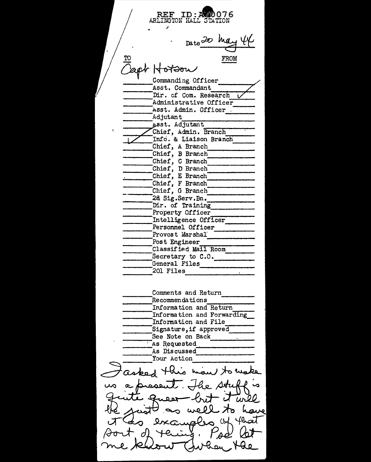REF ID:A*0*076  $~$ ARLINGTON HALL STATION Date 20 may 44 FROM Zapt Hottory Asst. Commandant Dir. cf Com. Research L<br>Administrative Officer Administrative Officer ----- ---- <sup>~</sup>s st. Admin. Officer . ----Adjutant ----- ----- st. Adjutant ----------- hief, Admin. Branch;......, \_\_\_ \_ Info. & Liaison Branch<br>Chief, A Branch Chief, B Branch<br>Chief, C Branch \_\_\_\_\_ \_ Chief, D Branch Chief, E Branch ---- \_\_\_\_ Chief, F Branch ------- \_\_\_\_\_\_ \_ Chief, G Branch Chief, G Branch<br>2a Sig.Serv.Bn.<br>Dir. of Training Dir. of Training<br>Property Officer Property Officer<br>Intelligence Officer Personnel Officer<br>Provost Marshal<br>Post Engineer<br>Classified Mail Room Provost Marshal Classified Mail Room<br>
Secretary to C.O.<br>
General Files<br>
201 Files<br>
Comments and Return<br>
Recommendations<br>
Information and Return<br>
Information and Forwarding<br>
Information and File<br>
Signature, if approved Information and File<br>Signature, if approved<br>See Note on Back<br>As Requested<br>As Discussed See Note on Back<br>As Requested Your Action asport this man to make The stuff's Queen brit it will ughs of that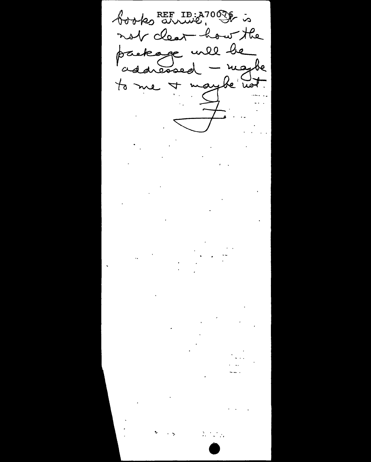books REE ID: A7000 is not clear how the package will be addressed - magbe to me + maybe not.